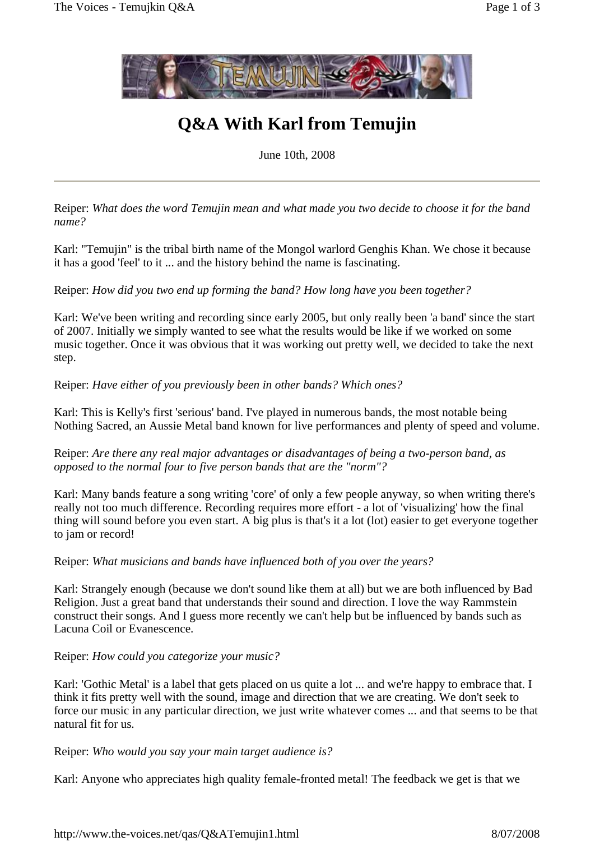

## **Q&A With Karl from Temujin**

June 10th, 2008

Reiper: *What does the word Temujin mean and what made you two decide to choose it for the band name?*

Karl: "Temujin" is the tribal birth name of the Mongol warlord Genghis Khan. We chose it because it has a good 'feel' to it ... and the history behind the name is fascinating.

Reiper: *How did you two end up forming the band? How long have you been together?*

Karl: We've been writing and recording since early 2005, but only really been 'a band' since the start of 2007. Initially we simply wanted to see what the results would be like if we worked on some music together. Once it was obvious that it was working out pretty well, we decided to take the next step.

Reiper: *Have either of you previously been in other bands? Which ones?*

Karl: This is Kelly's first 'serious' band. I've played in numerous bands, the most notable being Nothing Sacred, an Aussie Metal band known for live performances and plenty of speed and volume.

Reiper: *Are there any real major advantages or disadvantages of being a two-person band, as opposed to the normal four to five person bands that are the "norm"?*

Karl: Many bands feature a song writing 'core' of only a few people anyway, so when writing there's really not too much difference. Recording requires more effort - a lot of 'visualizing' how the final thing will sound before you even start. A big plus is that's it a lot (lot) easier to get everyone together to jam or record!

Reiper: *What musicians and bands have influenced both of you over the years?*

Karl: Strangely enough (because we don't sound like them at all) but we are both influenced by Bad Religion. Just a great band that understands their sound and direction. I love the way Rammstein construct their songs. And Iguess more recently we can't help but be influenced by bands such as Lacuna Coil or Evanescence.

## Reiper: *How could you categorize your music?*

Karl: 'Gothic Metal' is a label that gets placed on us quite a lot ... and we're happy to embrace that. I think it fits pretty well with the sound, image and direction that we are creating. We don't seek to force our music in any particular direction, we just write whatever comes ... and that seems to be that natural fit for us.

Reiper: *Who would you say your main target audience is?*

Karl: Anyone who appreciates high quality female-fronted metal! The feedback we get is that we